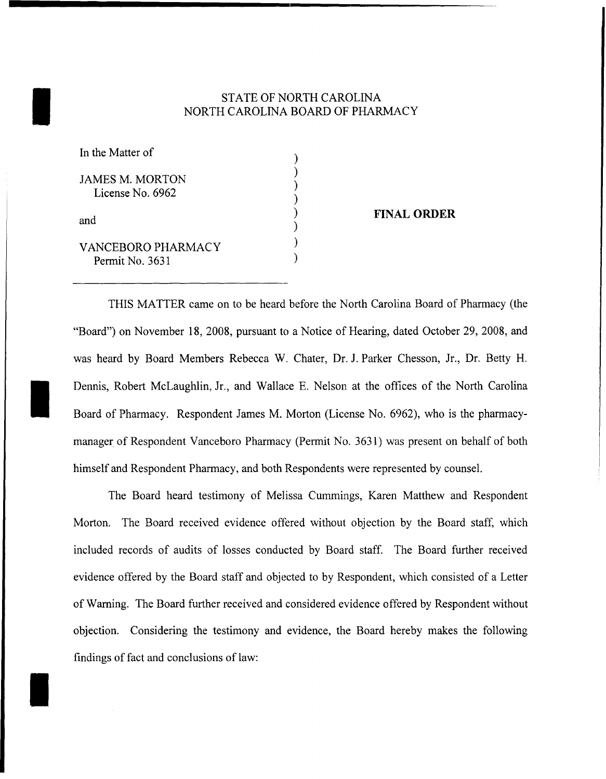# STATE OF NORTH CAROLINA<br>NORTH CAROLINA BOARD OF PHAR NORTH CAROLINA BOARD OF PHARMACY

) ) ) ) ) ) ) )

| In the Matter of                           |  |
|--------------------------------------------|--|
| <b>JAMES M. MORTON</b><br>License No. 6962 |  |
| and                                        |  |
| VANCERORO PHARMACY<br>Permit No. 3631      |  |

I

I

## FINAL ORDER

THIS MATTER carne on to be heard before the North Carolina Board of Pharmacy (the "Board") on November 18, 2008, pursuant to a Notice of Hearing, dated October 29, 2008, and was heard by Board Members Rebecca W. Chater, Dr.. 1. Parker Chesson, Jr., Dr. Betty H. Dennis, Robert McLaughlin, Jr., and Wallace E. Nelson at the offices of the North Carolina Board of Pharmacy. Respondent James M. Morton (License No. 6962), who is the pharmacymanager of Respondent Vanceboro Pharmacy (Permit No. 3631) was present on behalf of both himself and Respondent Pharmacy, and both Respondents were represented by counsel.

The Board heard testimony of Melissa Cummings, Karen Matthew and Respondent Morton. The Board received evidence offered without objection by the Board staff, which included records of audits of losses conducted by Board staff. The Board further received evidence offered by the Board staff and objected to by Respondent, which consisted of a Letter ofWaming. The Board further received and considered evidence offered by Respondent without objection. Considering the testimony and evidence, the Board hereby makes the following findings of fact and conclusions of law: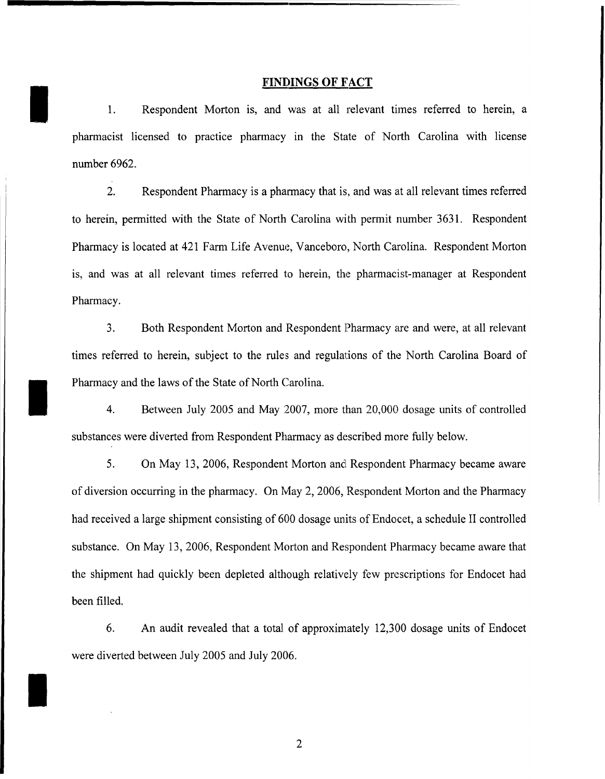## **FINDINGS OF FACT**

1. Respondent Morton is, and was at all relevant times referred to herein, a pharmacist licensed to practice pharmacy in the State of North Carolina with license number 6962.

I

I

I

2. Respondent Pharmacy is a pharmacy that is, and was at all relevant times referred to herein, permitted with the State of North Carolina with permit number 3631. Respondent Pharmacy is located at 421 Farm Life Avenue, Vanceboro, North Carolina. Respondent Morton is, and was at all relevant times referred to herein, the pharmacist-manager at Respondent Pharmacy.

3. Both Respondent Morton and Respondent Pharmacy are and were, at all relevant times referred to herein, subject to the rules and regulations of the North Carolina Board of Pharmacy and the laws of the State of North Carolina.

4. Between July 2005 and May 2007, more than 20,000 dosage units of controlled substances were diverted from Respondent Pharmacy as described more fully below.

5. On May 13,2006, Respondent Morton and Respondent Pharmacy became aware of diversion occurring in the pharmacy. On May 2, 2006, Respondent Morton and the Pharmacy had received a large shipment consisting of 600 dosage units of Endocet, a schedule II controlled substance. On May 13,2006, Respondent Morton and Respondent Pharmacy became aware that the shipment had quickly been depleted although relatively few prescriptions for Endocet had been filled.

6. An audit revealed that a total of approximately 12,300 dosage units of Endocet were diverted between July 2005 and July 2006.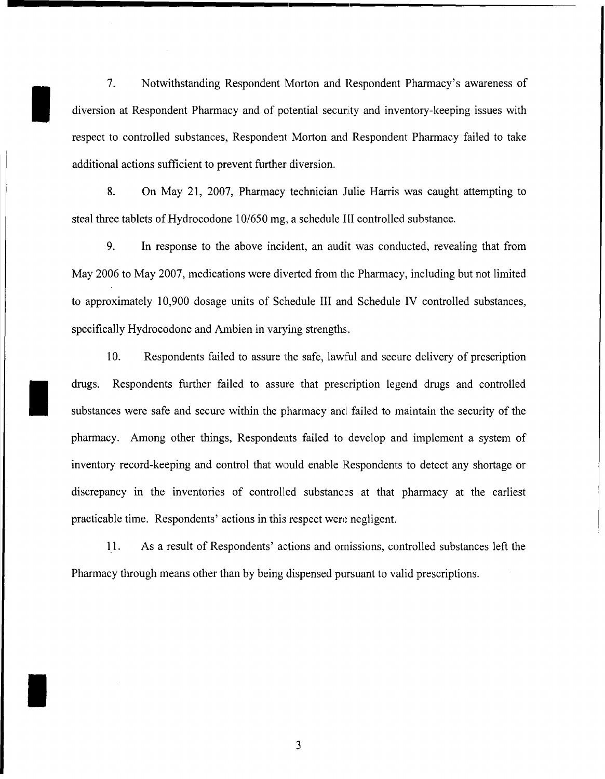7. Notwithstanding Respondent Morton and Respondent Pharmacy's awareness of diversion at Respondent Pharmacy and of potential security and inventory-keeping issues with respect to controlled substances, Respondent Morton and Respondent Pharmacy failed to take additional actions sufficient to prevent further diversion.

I

I

I

8. On May 21, 2007, Pharmacy technician Julie Harris was caught attempting to steal three tablets of Hydrocodone 10/650 mg, a schedule III controlled substance.

9. In response to the above incident, an audit was conducted, revealing that from May 2006 to May 2007, medications were diverted from the Pharmacy, including but not limited to approximately 10,900 dosage units of Schedule III and Schedule IV controlled substances, specifically Hydrocodone and Ambien in varying strengths.

10. Respondents failed to assure the safe, lawful and secure delivery of prescription drugs. Respondents further failed to assure that prescription legend drugs and controlled substances were safe and secure within the pharmacy and failed to maintain the security of the pharmacy. Among other things, Respondents failed to develop and implement a system of inventory record-keeping and control that would enable Respondents to detect any shortage or discrepancy in the inventories of controlled substances at that pharmacy at the earliest practicable time. Respondents' actions in this respect were negligent.

11. As a result of Respondents' actions and omissions, controlled substances left the Pharmacy through means other than by being dispensed pursuant to valid prescriptions.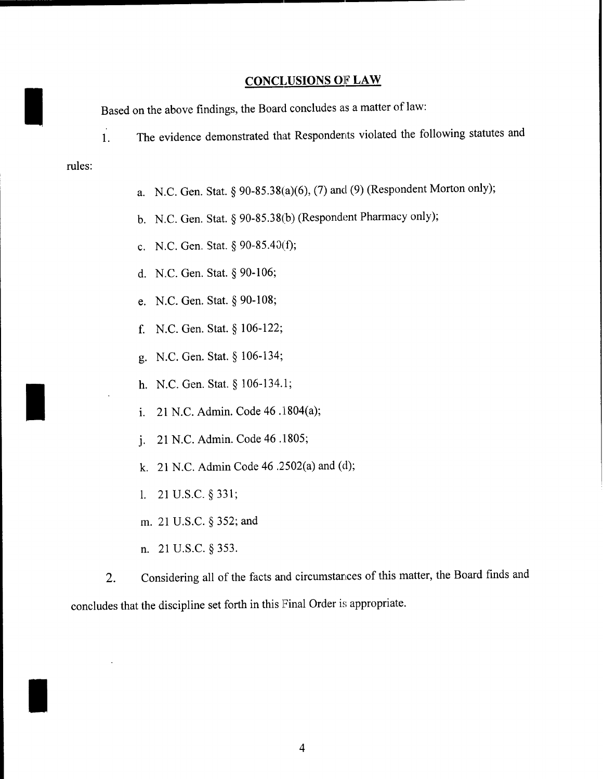## **CONCLUSIONS OF LAW**

Based on the above findings, the Board concludes as a matter of law:

1. The evidence demonstrated that Respondents violated the following statutes and

#### rules:

I

I

I

- a. N.C. Gen. Stat. § 90-85.38(a)(6), (7) and (9) (Respondent Morton only);
- b. N.C. Gen. Stat. § 90-85.38(b) (Respondent Pharmacy only);
- c. N.C. Gen. Stat. § 90-85.4J(f);
- d. N.C. Gen. Stat. § 90-106;
- e. N.C. Gen. Stat. § 90-108;
- f. N.C. Gen. Stat. § 106-122;
- g. N.C. Gen. Stat. § 106-134;
- h. N.C. Gen. Stat. § 106-134.1;
- i. 21 N.C. Admin. Code 46 .1804(a);
- J. 21 N.C. Admin. Code 46.1805;
- k. 21 N.C. Admin Code 46 .2502(a) and (d);
- 1. 21 U.S.C. § 331;
- m. 21 U.S.C. § 352; and
- n. 21 U.S.c. § 353.

2. Considering all of the facts and circumstances of this matter, the Board finds and concludes that the discipline set forth in this Final Order is appropriate.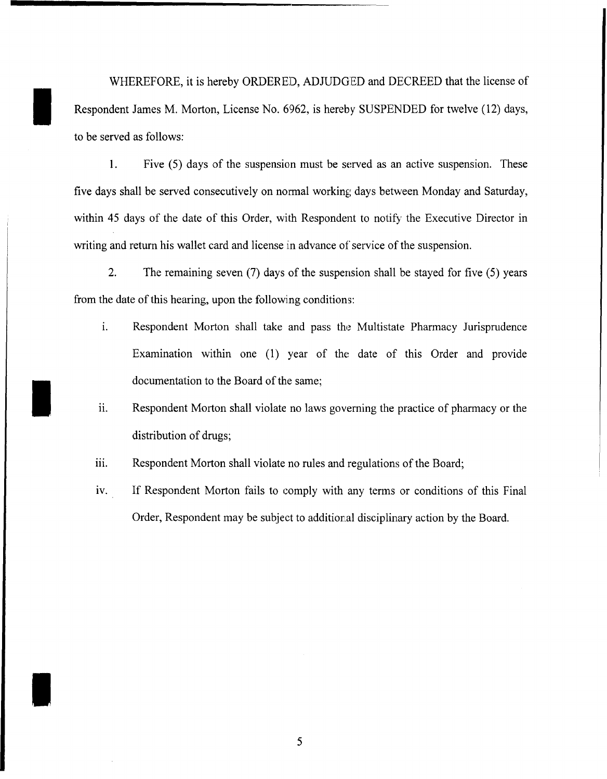WHEREFORE, it is hereby ORDERED, ADJUDGED and DECREED that the license of Respondent James M. Morton, License No. 6962, is hereby SUSPENDED for twelve (12) days, to be served as follows:

1. Five  $(5)$  days of the suspension must be served as an active suspension. These five days shall be served consecutively on normal working days between Monday and Saturday, within 45 days of the date of this Order, with Respondent to notify the Executive Director in writing and return his wallet card and license in advance of service of the suspension.

2. The remaining seven (7) days of the suspension shall be stayed for five (5) years from the date of this hearing, upon the following conditions:

- 1. Respondent Morton shall take and pass the Multistate Pharmacy Jurisprudence Examination within one (1) year of the date of this Order and provide documentation to the Board of the same;
- 11. Respondent Morton shall violate no laws governing the practice of pharmacy or the distribution of drugs;
- iii. Respondent Morton shall violate no rules and regulations of the Board;

I

I

iv. If Respondent Morton fails to comply with any terms or conditions of this Final Order, Respondent may be subject to additional disciplinary action by the Board.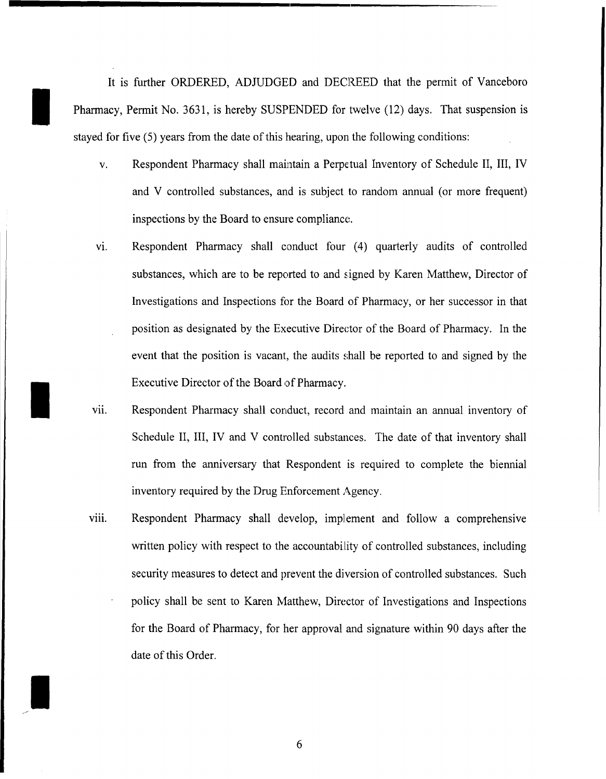It is further ORDERED, ADJUDGED and DECREED that the permit of Vanceboro Pharmacy, Permit No. 3631, is hereby SUSPENDED for twelve (12) days. That suspension is stayed for five  $(5)$  years from the date of this hearing, upon the following conditions:

I

I

I

- v. Respondent Pharmacy shall maintain a Perpetual Inventory of Schedule II, III, IV and V controlled substances, and is subject to random annual (or more frequent) inspections by the Board to ensure compliance.
- VI. Respondent Pharmacy shall conduct four (4) quarterly audits of controlled substances, which are to be reported to and signed by Karen Matthew, Director of Investigations and Inspections for the Board of Pharmacy, or her successor in that position as designated by the Executive Director of the Board of Pharmacy. In the event that the position is vacant, the audits shall be reported to and signed by the Executive Director of the Board of Pharmacy.
- Vll. Respondent Pharmacy shall conduct, record and maintain an annual inventory of Schedule II, III, IV and V controlled substances. The date of that inventory shall run from the anniversary that Respondent is required to complete the biennial inventory required by the Drug Enforcement Agency.
- viii. Respondent Pharmacy shall develop, implement and follow a comprehensive written policy with respect to the accountability of controlled substances, including security measures to detect and prevent the diversion of controlled substances. Such policy shall be sent to Karen Matthew, Director of Investigations and Inspections for the Board of Pharmacy, for her approval and signature within 90 days after the date of this Order.